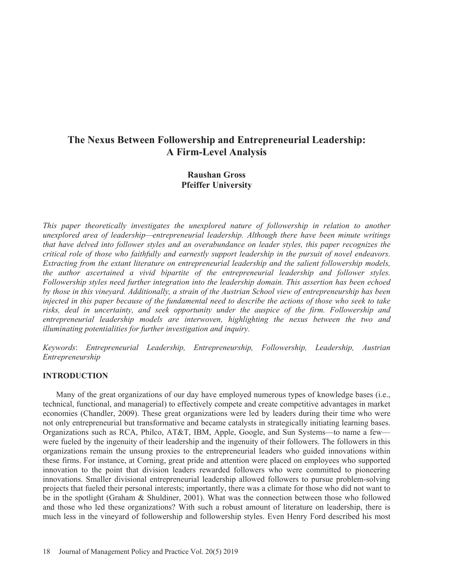# **The Nexus Between Followership and Entrepreneurial Leadership: A Firm-Level Analysis**

## **Raushan Gross Pfeiffer University**

*This paper theoretically investigates the unexplored nature of followership in relation to another unexplored area of leadership—entrepreneurial leadership. Although there have been minute writings that have delved into follower styles and an overabundance on leader styles, this paper recognizes the critical role of those who faithfully and earnestly support leadership in the pursuit of novel endeavors. Extracting from the extant literature on entrepreneurial leadership and the salient followership models, the author ascertained a vivid bipartite of the entrepreneurial leadership and follower styles. Followership styles need further integration into the leadership domain. This assertion has been echoed by those in this vineyard. Additionally, a strain of the Austrian School view of entrepreneurship has been injected in this paper because of the fundamental need to describe the actions of those who seek to take risks, deal in uncertainty, and seek opportunity under the auspice of the firm. Followership and entrepreneurial leadership models are interwoven, highlighting the nexus between the two and illuminating potentialities for further investigation and inquiry.* 

*Keywords (ntrepreneurial Leadership, Entrepreneurship, Followership, Leadership, Austrian Entrepreneurship* 

#### **INTRODUCTION**

Many of the great organizations of our day have employed numerous types of knowledge bases (i.e., technical, functional, and managerial) to effectively compete and create competitive advantages in market economies (Chandler, 2009). These great organizations were led by leaders during their time who were not only entrepreneurial but transformative and became catalysts in strategically initiating learning bases. Organizations such as RCA, Philco, AT&T, IBM, Apple, Google, and Sun Systems-to name a fewwere fueled by the ingenuity of their leadership and the ingenuity of their followers. The followers in this organizations remain the unsung proxies to the entrepreneurial leaders who guided innovations within these firms. For instance, at Corning, great pride and attention were placed on employees who supported innovation to the point that division leaders rewarded followers who were committed to pioneering innovations. Smaller divisional entrepreneurial leadership allowed followers to pursue problem-solving projects that fueled their personal interests; importantly, there was a climate for those who did not want to be in the spotlight (Graham & Shuldiner, 2001). What was the connection between those who followed and those who led these organizations? With such a robust amount of literature on leadership, there is much less in the vineyard of followership and followership styles. Even Henry Ford described his most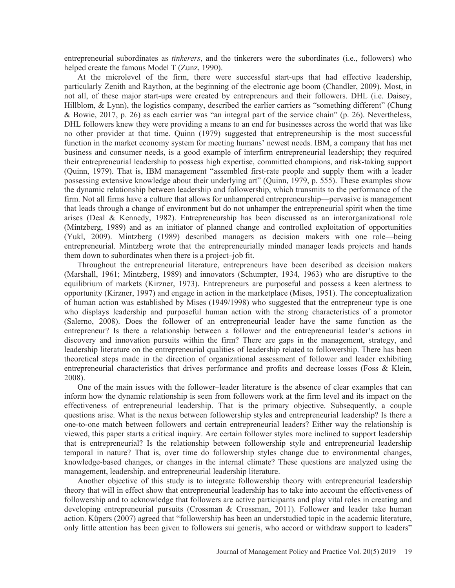entrepreneurial subordinates as tinkerers, and the tinkerers were the subordinates (i.e., followers) who helped create the famous Model T (Zunz, 1990).

At the microlevel of the firm, there were successful start-ups that had effective leadership, particularly Zenith and Raython, at the beginning of the electronic age boom (Chandler, 2009). Most, in not all, of these major start-ups were created by entrepreneurs and their followers. DHL (i.e. Daisey, Hillblom, & Lynn), the logistics company, described the earlier carriers as "something different" (Chung & Bowie, 2017, p. 26) as each carrier was "an integral part of the service chain" (p. 26). Nevertheless, DHL followers knew they were providing a means to an end for businesses across the world that was like no other provider at that time. Quinn (1979) suggested that entrepreneurship is the most successful function in the market economy system for meeting humans' newest needs. IBM, a company that has met business and consumer needs, is a good example of interfirm entrepreneurial leadership; they required their entrepreneurial leadership to possess high expertise, committed champions, and risk-taking support (Quinn, 1979). That is, IBM management "assembled first-rate people and supply them with a leader possessing extensive knowledge about their underlying art" (Quinn, 1979, p. 555). These examples show the dynamic relationship between leadership and followership, which transmits to the performance of the firm. Not all firms have a culture that allows for unhampered entrepreneurship—pervasive is management that leads through a change of environment but do not unhamper the entrepreneurial spirit when the time arises (Deal & Kennedy, 1982). Entrepreneurship has been discussed as an interorganizational role (Mintzberg, 1989) and as an initiator of planned change and controlled exploitation of opportunities (Yukl, 2009). Mintzberg (1989) described managers as decision makers with one role—being entrepreneurial. Mintzberg wrote that the entrepreneurially minded manager leads projects and hands them down to subordinates when there is a project-job fit.

Throughout the entrepreneurial literature, entrepreneurs have been described as decision makers (Marshall, 1961; Mintzberg, 1989) and innovators (Schumpter, 1934, 1963) who are disruptive to the equilibrium of markets (Kirzner, 1973). Entrepreneurs are purposeful and possess a keen alertness to opportunity (Kirzner, 1997) and engage in action in the marketplace (Mises, 1951). The conceptualization of human action was established by Mises (1949/1998) who suggested that the entrepreneur type is one who displays leadership and purposeful human action with the strong characteristics of a promotor (Salerno, 2008). Does the follower of an entrepreneurial leader have the same function as the entrepreneur? Is there a relationship between a follower and the entrepreneurial leader's actions in discovery and innovation pursuits within the firm? There are gaps in the management, strategy, and leadership literature on the entrepreneurial qualities of leadership related to followership. There has been theoretical steps made in the direction of organizational assessment of follower and leader exhibiting entrepreneurial characteristics that drives performance and profits and decrease losses (Foss & Klein,  $2008$ ).

One of the main issues with the follower-leader literature is the absence of clear examples that can inform how the dynamic relationship is seen from followers work at the firm level and its impact on the effectiveness of entrepreneurial leadership. That is the primary objective. Subsequently, a couple questions arise. What is the nexus between followership styles and entrepreneurial leadership? Is there a one-to-one match between followers and certain entrepreneurial leaders? Either way the relationship is viewed, this paper starts a critical inquiry. Are certain follower styles more inclined to support leadership that is entrepreneurial? Is the relationship between followership style and entrepreneurial leadership temporal in nature? That is, over time do followership styles change due to environmental changes, knowledge-based changes, or changes in the internal climate? These questions are analyzed using the management, leadership, and entrepreneurial leadership literature.

Another objective of this study is to integrate followership theory with entrepreneurial leadership theory that will in effect show that entrepreneurial leadership has to take into account the effectiveness of followership and to acknowledge that followers are active participants and play vital roles in creating and developing entrepreneurial pursuits (Crossman & Crossman, 2011). Follower and leader take human action. Küpers (2007) agreed that "followership has been an understudied topic in the academic literature, only little attention has been given to followers sui generis, who accord or withdraw support to leaders"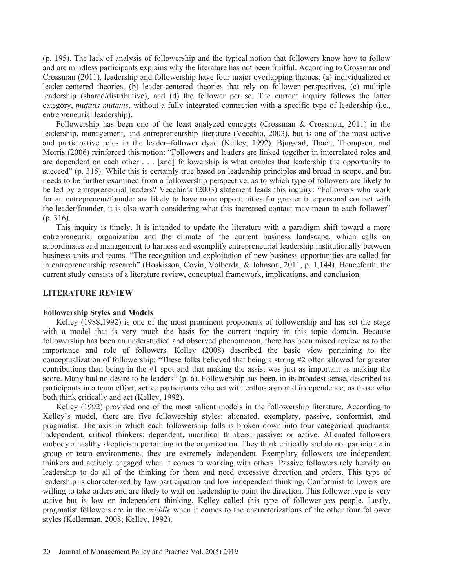(p. 195). The lack of analysis of followership and the typical notion that followers know how to follow and are mindless participants explains why the literature has not been fruitful. According to Crossman and Crossman (2011), leadership and followership have four major overlapping themes: (a) individualized or leader-centered theories, (b) leader-centered theories that rely on follower perspectives, (c) multiple leadership (shared/distributive), and (d) the follower per se. The current inquiry follows the latter category, *mutatis mutanis*, without a fully integrated connection with a specific type of leadership (i.e., entrepreneurial leadership).

Followership has been one of the least analyzed concepts (Crossman & Crossman, 2011) in the leadership, management, and entrepreneurship literature (Vecchio, 2003), but is one of the most active and participative roles in the leader-follower dyad (Kelley, 1992). Bjugstad, Thach, Thompson, and Morris (2006) reinforced this notion: "Followers and leaders are linked together in interrelated roles and are dependent on each other . . . [and] followership is what enables that leadership the opportunity to succeed" (p. 315). While this is certainly true based on leadership principles and broad in scope, and but needs to be further examined from a followership perspective, as to which type of followers are likely to be led by entrepreneurial leaders? Vecchio's (2003) statement leads this inquiry: "Followers who work for an entrepreneur/founder are likely to have more opportunities for greater interpersonal contact with the leader/founder, it is also worth considering what this increased contact may mean to each follower"  $(p. 316).$ 

This inquiry is timely. It is intended to update the literature with a paradigm shift toward a more entrepreneurial organization and the climate of the current business landscape, which calls on subordinates and management to harness and exemplify entrepreneurial leadership institutionally between business units and teams. "The recognition and exploitation of new business opportunities are called for in entrepreneurship research" (Hoskisson, Covin, Volberda, & Johnson, 2011, p. 1,144). Henceforth, the current study consists of a literature review, conceptual framework, implications, and conclusion.

#### **LITERATURE REVIEW**

#### **Followership Styles and Models**

Kelley (1988,1992) is one of the most prominent proponents of followership and has set the stage with a model that is very much the basis for the current inquiry in this topic domain. Because followership has been an understudied and observed phenomenon, there has been mixed review as to the importance and role of followers. Kelley (2008) described the basic view pertaining to the conceptualization of followership: "These folks believed that being a strong #2 often allowed for greater contributions than being in the  $#1$  spot and that making the assist was just as important as making the score. Many had no desire to be leaders" (p. 6). Followership has been, in its broadest sense, described as participants in a team effort, active participants who act with enthusiasm and independence, as those who both think critically and act (Kelley, 1992).

Kelley (1992) provided one of the most salient models in the followership literature. According to Kelley's model, there are five followership styles: alienated, exemplary, passive, conformist, and pragmatist. The axis in which each followership falls is broken down into four categorical quadrants: independent, critical thinkers; dependent, uncritical thinkers; passive; or active. Alienated followers embody a healthy skepticism pertaining to the organization. They think critically and do not participate in group or team environments; they are extremely independent. Exemplary followers are independent thinkers and actively engaged when it comes to working with others. Passive followers rely heavily on leadership to do all of the thinking for them and need excessive direction and orders. This type of leadership is characterized by low participation and low independent thinking. Conformist followers are willing to take orders and are likely to wait on leadership to point the direction. This follower type is very active but is low on independent thinking. Kelley called this type of follower yes people. Lastly, pragmatist followers are in the *middle* when it comes to the characterizations of the other four follower styles (Kellerman, 2008; Kelley, 1992).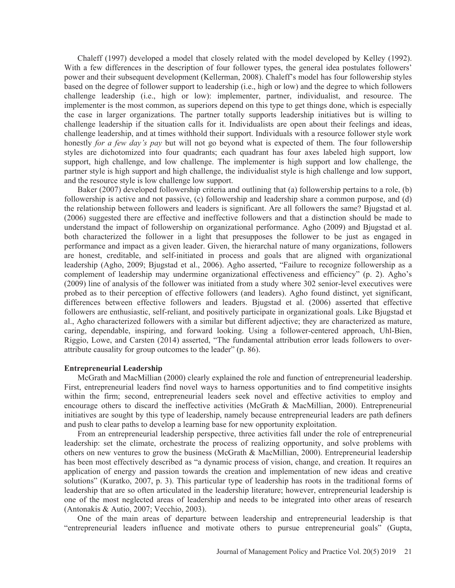Chaleff (1997) developed a model that closely related with the model developed by Kelley (1992). With a few differences in the description of four follower types, the general idea postulates followers' power and their subsequent development (Kellerman, 2008). Chaleff's model has four followership styles based on the degree of follower support to leadership (i.e., high or low) and the degree to which followers challenge leadership (i.e., high or low): implementer, partner, individualist, and resource. The implementer is the most common, as superiors depend on this type to get things done, which is especially the case in larger organizations. The partner totally supports leadership initiatives but is willing to challenge leadership if the situation calls for it. Individualists are open about their feelings and ideas, challenge leadership, and at times withhold their support. Individuals with a resource follower style work honestly for a few day's pay but will not go beyond what is expected of them. The four followership styles are dichotomized into four quadrants; each quadrant has four axes labeled high support, low support, high challenge, and low challenge. The implementer is high support and low challenge, the partner style is high support and high challenge, the individualist style is high challenge and low support, and the resource style is low challenge low support.

Baker (2007) developed followership criteria and outlining that (a) followership pertains to a role, (b) followership is active and not passive, (c) followership and leadership share a common purpose, and (d) the relationship between followers and leaders is significant. Are all followers the same? Bjugstad et al. (2006) suggested there are effective and ineffective followers and that a distinction should be made to understand the impact of followership on organizational performance. Agho (2009) and Bjugstad et al. both characterized the follower in a light that presupposes the follower to be just as engaged in performance and impact as a given leader. Given, the hierarchal nature of many organizations, followers are honest, creditable, and self-initiated in process and goals that are aligned with organizational leadership (Agho, 2009; Bjugstad et al., 2006). Agho asserted, "Failure to recognize followership as a complement of leadership may undermine organizational effectiveness and efficiency" (p. 2). Agho's (2009) line of analysis of the follower was initiated from a study where 302 senior-level executives were probed as to their perception of effective followers (and leaders). Agho found distinct, yet significant, differences between effective followers and leaders. Bjugstad et al. (2006) asserted that effective followers are enthusiastic, self-reliant, and positively participate in organizational goals. Like Biugstad et al., Agho characterized followers with a similar but different adjective; they are characterized as mature, caring, dependable, inspiring, and forward looking. Using a follower-centered approach, Uhl-Bien, Riggio, Lowe, and Carsten (2014) asserted, "The fundamental attribution error leads followers to overattribute causality for group outcomes to the leader" (p. 86).

#### **Entrepreneurial Leadership**

McGrath and MacMillian (2000) clearly explained the role and function of entrepreneurial leadership. First, entrepreneurial leaders find novel ways to harness opportunities and to find competitive insights within the firm; second, entrepreneurial leaders seek novel and effective activities to employ and encourage others to discard the ineffective activities (McGrath & MacMillian, 2000). Entrepreneurial initiatives are sought by this type of leadership, namely because entrepreneurial leaders are path definers and push to clear paths to develop a learning base for new opportunity exploitation.

From an entrepreneurial leadership perspective, three activities fall under the role of entrepreneurial leadership: set the climate, orchestrate the process of realizing opportunity, and solve problems with others on new ventures to grow the business (McGrath & MacMillian, 2000). Entrepreneurial leadership has been most effectively described as "a dynamic process of vision, change, and creation. It requires an application of energy and passion towards the creation and implementation of new ideas and creative solutions" (Kuratko, 2007, p. 3). This particular type of leadership has roots in the traditional forms of leadership that are so often articulated in the leadership literature; however, entrepreneurial leadership is one of the most neglected areas of leadership and needs to be integrated into other areas of research (Antonakis & Autio, 2007; Vecchio, 2003).

One of the main areas of departure between leadership and entrepreneurial leadership is that "entrepreneurial leaders influence and motivate others to pursue entrepreneurial goals" (Gupta,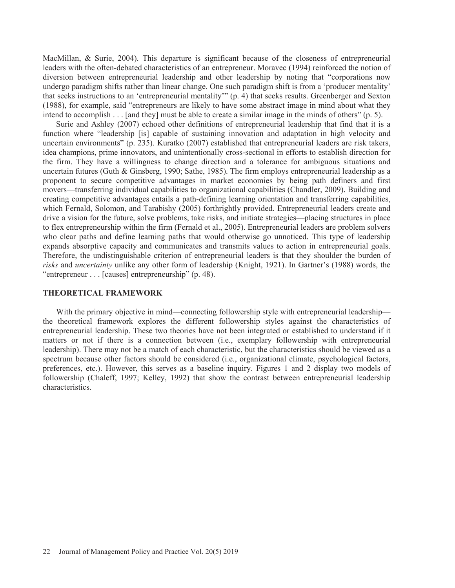MacMillan, & Surie, 2004). This departure is significant because of the closeness of entrepreneurial leaders with the often-debated characteristics of an entrepreneur. Moravec (1994) reinforced the notion of diversion between entrepreneurial leadership and other leadership by noting that "corporations now undergo paradigm shifts rather than linear change. One such paradigm shift is from a 'producer mentality' that seeks instructions to an 'entrepreneurial mentality'" (p. 4) that seeks results. Greenberger and Sexton (1988), for example, said "entrepreneurs are likely to have some abstract image in mind about what they intend to accomplish  $\ldots$  [and they] must be able to create a similar image in the minds of others" (p. 5).

Surie and Ashley (2007) echoed other definitions of entrepreneurial leadership that find that it is a function where "leadership [is] capable of sustaining innovation and adaptation in high velocity and uncertain environments" (p. 235). Kuratko (2007) established that entrepreneurial leaders are risk takers, idea champions, prime innovators, and unintentionally cross-sectional in efforts to establish direction for the firm. They have a willingness to change direction and a tolerance for ambiguous situations and uncertain futures (Guth & Ginsberg, 1990; Sathe, 1985). The firm employs entrepreneurial leadership as a proponent to secure competitive advantages in market economies by being path definers and first movers—transferring individual capabilities to organizational capabilities (Chandler, 2009). Building and creating competitive advantages entails a path-defining learning orientation and transferring capabilities, which Fernald, Solomon, and Tarabishy (2005) forthrightly provided. Entrepreneurial leaders create and drive a vision for the future, solve problems, take risks, and initiate strategies—placing structures in place to flex entrepreneurship within the firm (Fernald et al., 2005). Entrepreneurial leaders are problem solvers who clear paths and define learning paths that would otherwise go unnoticed. This type of leadership expands absorptive capacity and communicates and transmits values to action in entrepreneurial goals. Therefore, the undistinguishable criterion of entrepreneurial leaders is that they shoulder the burden of risks and *uncertainty* unlike any other form of leadership (Knight, 1921). In Gartner's (1988) words, the "entrepreneur... [causes] entrepreneurship" (p. 48).

#### **THEORETICAL FRAMEWORK**

With the primary objective in mind—connecting followership style with entrepreneurial leadership the theoretical framework explores the different followership styles against the characteristics of entrepreneurial leadership. These two theories have not been integrated or established to understand if it matters or not if there is a connection between (*i.e.*, exemplary followership with entrepreneurial leadership). There may not be a match of each characteristic, but the characteristics should be viewed as a spectrum because other factors should be considered (i.e., organizational climate, psychological factors, preferences, etc.). However, this serves as a baseline inquiry. Figures 1 and 2 display two models of followership (Chaleff, 1997; Kelley, 1992) that show the contrast between entrepreneurial leadership characteristics.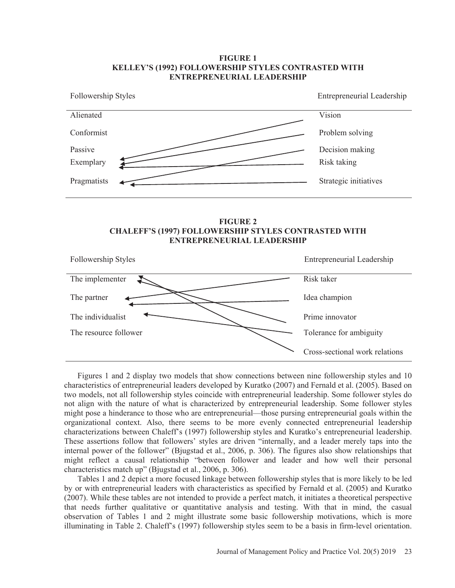### **FIGURE 1** KELLEY'S (1992) FOLLOWERSHIP STYLES CONTRASTED WITH **ENTREPRENEURIAL LEADERSHIP**







Figures 1 and 2 display two models that show connections between nine followership styles and 10 characteristics of entrepreneurial leaders developed by Kuratko (2007) and Fernald et al. (2005). Based on two models, not all followership styles coincide with entrepreneurial leadership. Some follower styles do not align with the nature of what is characterized by entrepreneurial leadership. Some follower styles might pose a hinderance to those who are entrepreneurial—those pursing entrepreneurial goals within the organizational context. Also, there seems to be more evenly connected entrepreneurial leadership characterizations between Chaleff's (1997) followership styles and Kuratko's entrepreneurial leadership. These assertions follow that followers' styles are driven "internally, and a leader merely taps into the internal power of the follower" (Bjugstad et al., 2006, p. 306). The figures also show relationships that might reflect a causal relationship "between follower and leader and how well their personal characteristics match up" (Bjugstad et al., 2006, p. 306).

Tables 1 and 2 depict a more focused linkage between followership styles that is more likely to be led by or with entrepreneurial leaders with characteristics as specified by Fernald et al. (2005) and Kuratko (2007). While these tables are not intended to provide a perfect match, it initiates a theoretical perspective that needs further qualitative or quantitative analysis and testing. With that in mind, the casual observation of Tables 1 and 2 might illustrate some basic followership motivations, which is more illuminating in Table 2. Chaleff's (1997) followership styles seem to be a basis in firm-level orientation.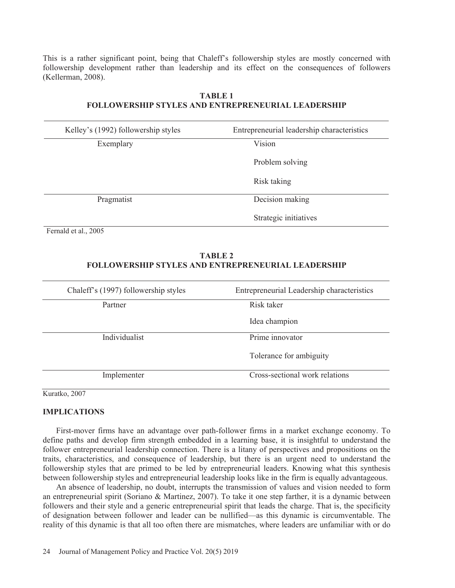This is a rather significant point, being that Chaleff's followership styles are mostly concerned with followership development rather than leadership and its effect on the consequences of followers (Kellerman, 2008).

| Kelley's (1992) followership styles | Entrepreneurial leadership characteristics |
|-------------------------------------|--------------------------------------------|
| Exemplary                           | Vision                                     |
|                                     | Problem solving                            |
|                                     | Risk taking                                |
| Pragmatist                          | Decision making                            |
|                                     | Strategic initiatives                      |

## **TABLE 1 FOLLOWERSHIP STYLES AND ENTREPRENEURIAL LEADERSHIP**

Fernald et al., 2005

## **TABLE 2 FOLLOWERSHIP STYLES AND ENTREPRENEURIAL LEADERSHIP**

| Chaleff's (1997) followership styles | Entrepreneurial Leadership characteristics |
|--------------------------------------|--------------------------------------------|
| Partner                              | Risk taker                                 |
|                                      | Idea champion                              |
| Individualist                        | Prime innovator                            |
|                                      | Tolerance for ambiguity                    |
| Implementer                          | Cross-sectional work relations             |

Kuratko, 2007

## **IMPLICATIONS**

First-mover firms have an advantage over path-follower firms in a market exchange economy. To define paths and develop firm strength embedded in a learning base, it is insightful to understand the follower entrepreneurial leadership connection. There is a litany of perspectives and propositions on the traits, characteristics, and consequence of leadership, but there is an urgent need to understand the followership styles that are primed to be led by entrepreneurial leaders. Knowing what this synthesis between followership styles and entrepreneurial leadership looks like in the firm is equally advantageous.

An absence of leadership, no doubt, interrupts the transmission of values and vision needed to form an entrepreneurial spirit (Soriano & Martinez, 2007). To take it one step farther, it is a dynamic between followers and their style and a generic entrepreneurial spirit that leads the charge. That is, the specificity of designation between follower and leader can be nullified—as this dynamic is circumventable. The reality of this dynamic is that all too often there are mismatches, where leaders are unfamiliar with or do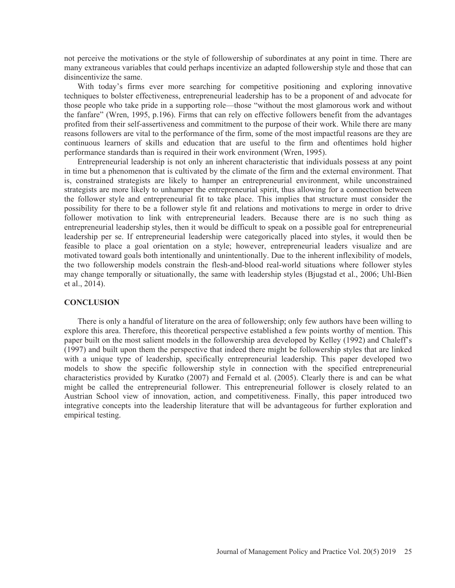not perceive the motivations or the style of followership of subordinates at any point in time. There are many extraneous variables that could perhaps incentivize an adapted followership style and those that can disincentivize the same.

With today's firms ever more searching for competitive positioning and exploring innovative techniques to bolster effectiveness, entrepreneurial leadership has to be a proponent of and advocate for those people who take pride in a supporting role—those "without the most glamorous work and without the fanfare" (Wren, 1995, p.196). Firms that can rely on effective followers benefit from the advantages profited from their self-assertiveness and commitment to the purpose of their work. While there are many reasons followers are vital to the performance of the firm, some of the most impactful reasons are they are continuous learners of skills and education that are useful to the firm and oftentimes hold higher performance standards than is required in their work environment (Wren, 1995).

Entrepreneurial leadership is not only an inherent characteristic that individuals possess at any point in time but a phenomenon that is cultivated by the climate of the firm and the external environment. That is, constrained strategists are likely to hamper an entrepreneurial environment, while unconstrained strategists are more likely to unhamper the entrepreneurial spirit, thus allowing for a connection between the follower style and entrepreneurial fit to take place. This implies that structure must consider the possibility for there to be a follower style fit and relations and motivations to merge in order to drive follower motivation to link with entrepreneurial leaders. Because there are is no such thing as entrepreneurial leadership styles, then it would be difficult to speak on a possible goal for entrepreneurial leadership per se. If entrepreneurial leadership were categorically placed into styles, it would then be feasible to place a goal orientation on a style; however, entrepreneurial leaders visualize and are motivated toward goals both intentionally and unintentionally. Due to the inherent inflexibility of models, the two followership models constrain the flesh-and-blood real-world situations where follower styles may change temporally or situationally, the same with leadership styles (Bjugstad et al., 2006; Uhl-Bien et al., 2014).

#### **CONCLUSION**

There is only a handful of literature on the area of followership; only few authors have been willing to explore this area. Therefore, this theoretical perspective established a few points worthy of mention. This paper built on the most salient models in the followership area developed by Kelley (1992) and Chaleff's (1997) and built upon them the perspective that indeed there might be followership styles that are linked with a unique type of leadership, specifically entrepreneurial leadership. This paper developed two models to show the specific followership style in connection with the specified entrepreneurial characteristics provided by Kuratko (2007) and Fernald et al. (2005). Clearly there is and can be what might be called the entrepreneurial follower. This entrepreneurial follower is closely related to an Austrian School view of innovation, action, and competitiveness. Finally, this paper introduced two integrative concepts into the leadership literature that will be advantageous for further exploration and empirical testing.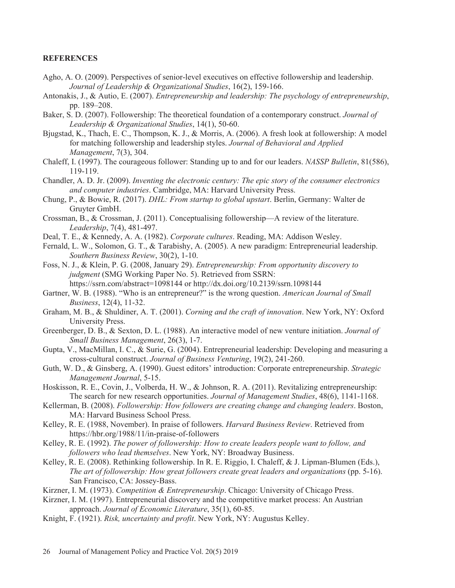### **REFERENCES**

- Agho, A. O. (2009). Perspectives of senior-level executives on effective followership and leadership. *Journal of Leadership & Organizational Studies*
- Antonakis, J., & Autio, E. (2007). *Entrepreneurship and leadership: The psychology of entrepreneurship*, pp. 189-208.
- Baker, S. D. (2007). Followership: The theoretical foundation of a contemporary construct. *Journal of Leadership & Organizational Studies*
- Bjugstad, K., Thach, E. C., Thompson, K. J., & Morris, A. (2006). A fresh look at followership: A model for matching followership and leadership styles. Journal of Behavioral and Applied *Management*
- Chaleff, I. (1997). The courageous follower: Standing up to and for our leaders. *NASSP Bulletin*, 81(586), 119-119.
- Chandler, A. D. Jr. (2009). *Inventing the electronic century: The epic story of the consumer electronics and computer industries.* Cambridge, MA: Harvard University Press.
- Chung, P., & Bowie, R. (2017). *DHL: From startup to global upstart*. Berlin, Germany: Walter de Gruyter GmbH.
- Crossman, B., & Crossman, J. (2011). Conceptualising followership—A review of the literature. *Leadership*
- Deal, T. E., & Kennedy, A. A. (1982). Corporate cultures. Reading, MA: Addison Wesley.
- Fernald, L. W., Solomon, G. T., & Tarabishy, A.  $(2005)$ . A new paradigm: Entrepreneurial leadership. *Southern Business Review*
- Foss, N. J., & Klein, P. G. (2008, January 29). *Entrepreneurship: From opportunity discovery to judgment* (SMG Working Paper No. 5). Retrieved from SSRN: https://ssrn.com/abstract=1098144 or http://dx.doi.org/10.2139/ssrn.1098144
- Gartner, W. B. (1988). "Who is an entrepreneur?" is the wrong question. *American Journal of Small Business*
- Graham, M. B., & Shuldiner, A. T. (2001). *Corning and the craft of innovation*. New York, NY: Oxford University Press.
- Greenberger, D. B., & Sexton, D. L. (1988). An interactive model of new venture initiation. Journal of *Small Business Management*
- Gupta, V., MacMillan, I. C., & Surie, G. (2004). Entrepreneurial leadership: Developing and measuring a cross-cultural construct. Journal of Business Venturing, 19(2), 241-260.
- Guth, W. D., & Ginsberg, A. (1990). Guest editors' introduction: Corporate entrepreneurship. *Strategic Management Journal*
- Hoskisson, R. E., Covin, J., Volberda, H. W., & Johnson, R. A. (2011). Revitalizing entrepreneurship: The search for new research opportunities. Journal of Management Studies, 48(6), 1141-1168.
- Kellerman, B. (2008). *Followership: How followers are creating change and changing leaders*. Boston, MA: Harvard Business School Press.
- Kelley, R. E. (1988, November). In praise of followers. Harvard Business Review. Retrieved from https://hbr.org/1988/11/in-praise-of-followers
- Kelley, R. E. (1992). *The power of followership: How to create leaders people want to follow, and followers who lead themselves*. New York, NY: Broadway Business.
- Kelley, R. E. (2008). Rethinking followership. In R. E. Riggio, I. Chaleff, & J. Lipman-Blumen (Eds.), *The art of followership: How great followers create great leaders and organizations* (pp. 5-16). San Francisco, CA: Jossey-Bass.
- Kirzner, I. M. (1973). Competition & Entrepreneurship. Chicago: University of Chicago Press.
- Kirzner, I. M. (1997). Entrepreneurial discovery and the competitive market process: An Austrian approach. Journal of Economic Literature, 35(1), 60-85.
- Knight, F. (1921). Risk, uncertainty and profit. New York, NY: Augustus Kelley.